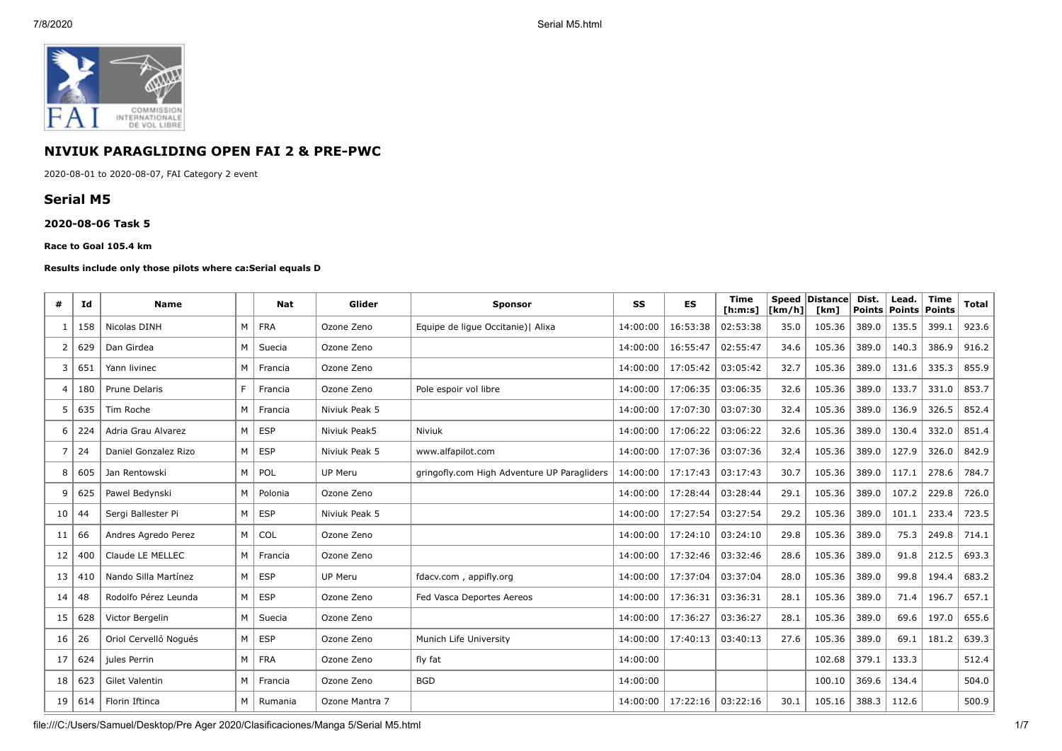

# **NIVIUK PARAGLIDING OPEN FAI 2 & PRE-PWC**

2020-08-01 to 2020-08-07, FAI Category 2 event

# **Serial M5**

### **2020-08-06 Task 5**

#### **Race to Goal 105.4 km**

#### **Results include only those pilots where ca:Serial equals D**

| #  | Ιd  | <b>Name</b>           |   | Nat        | Glider         | <b>Sponsor</b>                              | SS       | <b>ES</b> | <b>Time</b><br>[ h: m: s] | $\lceil km/h \rceil$ | Speed Distance<br>[km] | Dist.<br><b>Points</b> | Lead.<br><b>Points</b> | <b>Time</b><br>Points | <b>Total</b> |
|----|-----|-----------------------|---|------------|----------------|---------------------------------------------|----------|-----------|---------------------------|----------------------|------------------------|------------------------|------------------------|-----------------------|--------------|
| -1 | 158 | Nicolas DINH          | M | <b>FRA</b> | Ozone Zeno     | Equipe de lique Occitanie)   Alixa          | 14:00:00 | 16:53:38  | 02:53:38                  | 35.0                 | 105.36                 | 389.0                  | 135.5                  | 399.1                 | 923.6        |
| 2  | 629 | Dan Girdea            | M | Suecia     | Ozone Zeno     |                                             | 14:00:00 | 16:55:47  | 02:55:47                  | 34.6                 | 105.36                 | 389.0                  | 140.3                  | 386.9                 | 916.2        |
| 3  | 651 | Yann livinec          | M | Francia    | Ozone Zeno     |                                             | 14:00:00 | 17:05:42  | 03:05:42                  | 32.7                 | 105.36                 | 389.0                  | 131.6                  | 335.3                 | 855.9        |
| 4  | 180 | Prune Delaris         | F | Francia    | Ozone Zeno     | Pole espoir vol libre                       | 14:00:00 | 17:06:35  | 03:06:35                  | 32.6                 | 105.36                 | 389.0                  | 133.7                  | 331.0                 | 853.7        |
| 5  | 635 | Tim Roche             | M | Francia    | Niviuk Peak 5  |                                             | 14:00:00 | 17:07:30  | 03:07:30                  | 32.4                 | 105.36                 | 389.0                  | 136.9                  | 326.5                 | 852.4        |
| 6  | 224 | Adria Grau Alvarez    | M | <b>ESP</b> | Niviuk Peak5   | <b>Niviuk</b>                               | 14:00:00 | 17:06:22  | 03:06:22                  | 32.6                 | 105.36                 | 389.0                  | 130.4                  | 332.0                 | 851.4        |
| 7  | 24  | Daniel Gonzalez Rizo  | M | <b>ESP</b> | Niviuk Peak 5  | www.alfapilot.com                           | 14:00:00 | 17:07:36  | 03:07:36                  | 32.4                 | 105.36                 | 389.0                  | 127.9                  | 326.0                 | 842.9        |
| 8  | 605 | Jan Rentowski         | M | POL        | UP Meru        | gringofly.com High Adventure UP Paragliders | 14:00:00 | 17:17:43  | 03:17:43                  | 30.7                 | 105.36                 | 389.0                  | 117.1                  | 278.6                 | 784.7        |
| 9  | 625 | Pawel Bedynski        | M | Polonia    | Ozone Zeno     |                                             | 14:00:00 | 17:28:44  | 03:28:44                  | 29.1                 | 105.36                 | 389.0                  | 107.2                  | 229.8                 | 726.0        |
| 10 | 44  | Sergi Ballester Pi    | M | <b>ESP</b> | Niviuk Peak 5  |                                             | 14:00:00 | 17:27:54  | 03:27:54                  | 29.2                 | 105.36                 | 389.0                  | 101.1                  | 233.4                 | 723.5        |
| 11 | 66  | Andres Agredo Perez   | M | COL        | Ozone Zeno     |                                             | 14:00:00 | 17:24:10  | 03:24:10                  | 29.8                 | 105.36                 | 389.0                  | 75.3                   | 249.8                 | 714.1        |
| 12 | 400 | Claude LE MELLEC      | M | Francia    | Ozone Zeno     |                                             | 14:00:00 | 17:32:46  | 03:32:46                  | 28.6                 | 105.36                 | 389.0                  | 91.8                   | 212.5                 | 693.3        |
| 13 | 410 | Nando Silla Martínez  | M | <b>ESP</b> | <b>UP Meru</b> | fdacv.com, appifly.org                      | 14:00:00 | 17:37:04  | 03:37:04                  | 28.0                 | 105.36                 | 389.0                  | 99.8                   | 194.4                 | 683.2        |
| 14 | 48  | Rodolfo Pérez Leunda  | M | <b>ESP</b> | Ozone Zeno     | Fed Vasca Deportes Aereos                   | 14:00:00 | 17:36:31  | 03:36:31                  | 28.1                 | 105.36                 | 389.0                  | 71.4                   | 196.7                 | 657.1        |
| 15 | 628 | Victor Bergelin       | M | Suecia     | Ozone Zeno     |                                             | 14:00:00 | 17:36:27  | 03:36:27                  | 28.1                 | 105.36                 | 389.0                  | 69.6                   | 197.0                 | 655.6        |
| 16 | 26  | Oriol Cervelló Nogués | M | <b>ESP</b> | Ozone Zeno     | Munich Life University                      | 14:00:00 | 17:40:13  | 03:40:13                  | 27.6                 | 105.36                 | 389.0                  | 69.1                   | 181.2                 | 639.3        |
| 17 | 624 | jules Perrin          | M | <b>FRA</b> | Ozone Zeno     | fly fat                                     | 14:00:00 |           |                           |                      | 102.68                 | 379.1                  | 133.3                  |                       | 512.4        |
| 18 | 623 | Gilet Valentin        | M | Francia    | Ozone Zeno     | <b>BGD</b>                                  | 14:00:00 |           |                           |                      | 100.10                 | 369.6                  | 134.4                  |                       | 504.0        |
| 19 | 614 | Florin Iftinca        | M | Rumania    | Ozone Mantra 7 |                                             | 14:00:00 | 17:22:16  | 03:22:16                  | 30.1                 | 105.16                 | 388.3                  | 112.6                  |                       | 500.9        |

file:///C:/Users/Samuel/Desktop/Pre Ager 2020/Clasificaciones/Manga 5/Serial M5.html 1/7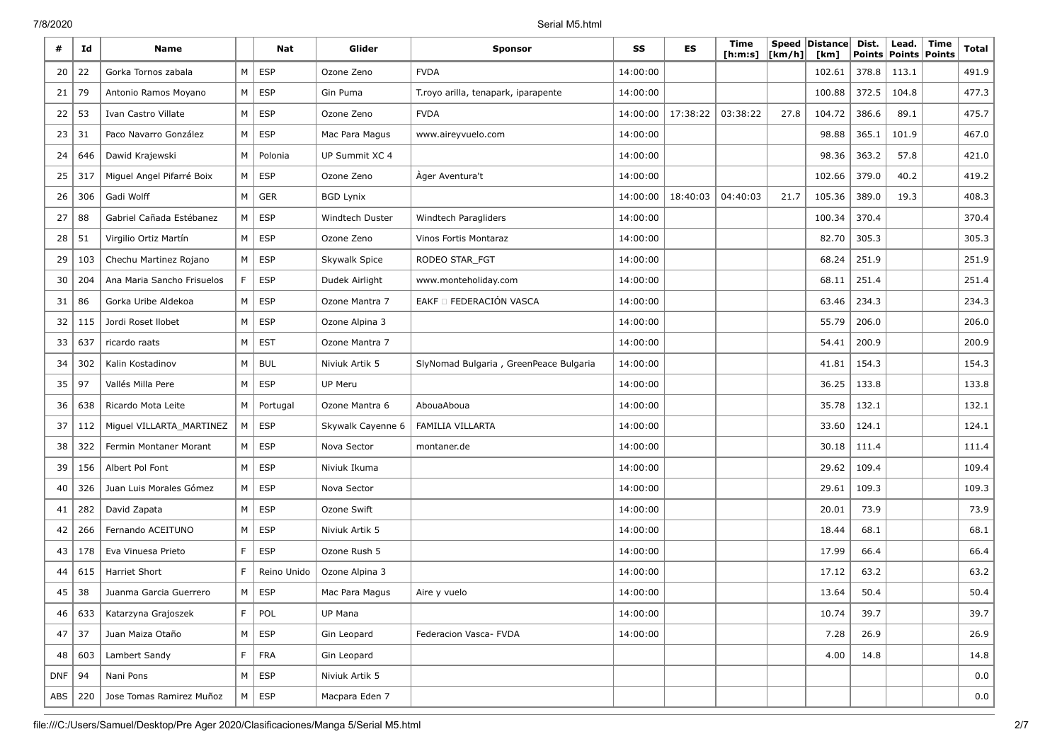7/8/2020 Serial M5.html

| #          | Id  | <b>Name</b>                |             | Nat         | Glider                 | <b>Sponsor</b>                         | SS       | <b>ES</b> | Time<br>[ <b>h</b> : <b>m</b> : <b>s</b> ] | [km/h] | Speed Distance<br>[km] | Dist.<br><b>Points</b> | Lead.<br><b>Points Points</b> | <b>Time</b> | <b>Total</b> |
|------------|-----|----------------------------|-------------|-------------|------------------------|----------------------------------------|----------|-----------|--------------------------------------------|--------|------------------------|------------------------|-------------------------------|-------------|--------------|
| 20         | 22  | Gorka Tornos zabala        | M           | <b>ESP</b>  | Ozone Zeno             | <b>FVDA</b>                            | 14:00:00 |           |                                            |        | 102.61                 | 378.8                  | 113.1                         |             | 491.9        |
| 21         | 79  | Antonio Ramos Moyano       | M           | <b>ESP</b>  | Gin Puma               | T.royo arilla, tenapark, iparapente    | 14:00:00 |           |                                            |        | 100.88                 | 372.5                  | 104.8                         |             | 477.3        |
| 22         | 53  | Ivan Castro Villate        | M           | <b>ESP</b>  | Ozone Zeno             | <b>FVDA</b>                            | 14:00:00 | 17:38:22  | 03:38:22                                   | 27.8   | 104.72                 | 386.6                  | 89.1                          |             | 475.7        |
| 23         | 31  | Paco Navarro González      | М           | <b>ESP</b>  | Mac Para Magus         | www.aireyvuelo.com                     | 14:00:00 |           |                                            |        | 98.88                  | 365.1                  | 101.9                         |             | 467.0        |
| 24         | 646 | Dawid Krajewski            | M           | Polonia     | UP Summit XC 4         |                                        | 14:00:00 |           |                                            |        | 98.36                  | 363.2                  | 57.8                          |             | 421.0        |
| 25         | 317 | Miguel Angel Pifarré Boix  | M           | <b>ESP</b>  | Ozone Zeno             | Ager Aventura't                        | 14:00:00 |           |                                            |        | 102.66                 | 379.0                  | 40.2                          |             | 419.2        |
| 26         | 306 | Gadi Wolff                 | M           | <b>GER</b>  | <b>BGD Lynix</b>       |                                        | 14:00:00 | 18:40:03  | 04:40:03                                   | 21.7   | 105.36                 | 389.0                  | 19.3                          |             | 408.3        |
| 27         | 88  | Gabriel Cañada Estébanez   | М           | <b>ESP</b>  | <b>Windtech Duster</b> | Windtech Paragliders                   | 14:00:00 |           |                                            |        | 100.34                 | 370.4                  |                               |             | 370.4        |
| 28         | 51  | Virgilio Ortiz Martín      | M           | <b>ESP</b>  | Ozone Zeno             | Vinos Fortis Montaraz                  | 14:00:00 |           |                                            |        | 82.70                  | 305.3                  |                               |             | 305.3        |
| 29         | 103 | Chechu Martinez Rojano     | M           | <b>ESP</b>  | Skywalk Spice          | RODEO STAR_FGT                         | 14:00:00 |           |                                            |        | 68.24                  | 251.9                  |                               |             | 251.9        |
| 30         | 204 | Ana Maria Sancho Frisuelos | F.          | <b>ESP</b>  | Dudek Airlight         | www.monteholiday.com                   | 14:00:00 |           |                                            |        | 68.11                  | 251.4                  |                               |             | 251.4        |
| 31         | 86  | Gorka Uribe Aldekoa        | M           | <b>ESP</b>  | Ozone Mantra 7         | EAKF D FEDERACIÓN VASCA                | 14:00:00 |           |                                            |        | 63.46                  | 234.3                  |                               |             | 234.3        |
| 32         | 115 | Jordi Roset Ilobet         | M           | <b>ESP</b>  | Ozone Alpina 3         |                                        | 14:00:00 |           |                                            |        | 55.79                  | 206.0                  |                               |             | 206.0        |
| 33         | 637 | ricardo raats              | M           | <b>EST</b>  | Ozone Mantra 7         |                                        | 14:00:00 |           |                                            |        | 54.41                  | 200.9                  |                               |             | 200.9        |
| 34         | 302 | Kalin Kostadinov           | M           | <b>BUL</b>  | Niviuk Artik 5         | SlyNomad Bulgaria, GreenPeace Bulgaria | 14:00:00 |           |                                            |        | 41.81                  | 154.3                  |                               |             | 154.3        |
| 35         | 97  | Vallés Milla Pere          | M           | <b>ESP</b>  | UP Meru                |                                        | 14:00:00 |           |                                            |        | 36.25                  | 133.8                  |                               |             | 133.8        |
| 36         | 638 | Ricardo Mota Leite         | M           | Portugal    | Ozone Mantra 6         | AbouaAboua                             | 14:00:00 |           |                                            |        | 35.78                  | 132.1                  |                               |             | 132.1        |
| 37         | 112 | Miguel VILLARTA_MARTINEZ   | M           | <b>ESP</b>  | Skywalk Cayenne 6      | FAMILIA VILLARTA                       | 14:00:00 |           |                                            |        | 33.60                  | 124.1                  |                               |             | 124.1        |
| 38         | 322 | Fermin Montaner Morant     | M           | <b>ESP</b>  | Nova Sector            | montaner.de                            | 14:00:00 |           |                                            |        | 30.18                  | 111.4                  |                               |             | 111.4        |
| 39         | 156 | Albert Pol Font            | M           | <b>ESP</b>  | Niviuk Ikuma           |                                        | 14:00:00 |           |                                            |        | 29.62                  | 109.4                  |                               |             | 109.4        |
| 40         | 326 | Juan Luis Morales Gómez    | М           | <b>ESP</b>  | Nova Sector            |                                        | 14:00:00 |           |                                            |        | 29.61                  | 109.3                  |                               |             | 109.3        |
| 41         | 282 | David Zapata               | M           | <b>ESP</b>  | Ozone Swift            |                                        | 14:00:00 |           |                                            |        | 20.01                  | 73.9                   |                               |             | 73.9         |
| 42         | 266 | Fernando ACEITUNO          | M           | <b>ESP</b>  | Niviuk Artik 5         |                                        | 14:00:00 |           |                                            |        | 18.44                  | 68.1                   |                               |             | 68.1         |
| 43         | 178 | Eva Vinuesa Prieto         | F.          | <b>ESP</b>  | Ozone Rush 5           |                                        | 14:00:00 |           |                                            |        | 17.99                  | 66.4                   |                               |             | 66.4         |
| 44         | 615 | Harriet Short              | F           | Reino Unido | Ozone Alpina 3         |                                        | 14:00:00 |           |                                            |        | 17.12                  | 63.2                   |                               |             | 63.2         |
| 45         | 38  | Juanma Garcia Guerrero     | М           | <b>ESP</b>  | Mac Para Magus         | Aire y vuelo                           | 14:00:00 |           |                                            |        | 13.64                  | 50.4                   |                               |             | 50.4         |
| 46         | 633 | Katarzyna Grajoszek        | F.          | POL         | UP Mana                |                                        | 14:00:00 |           |                                            |        | 10.74                  | 39.7                   |                               |             | 39.7         |
| 47         | 37  | Juan Maiza Otaño           | M           | ESP         | Gin Leopard            | Federacion Vasca- FVDA                 | 14:00:00 |           |                                            |        | 7.28                   | 26.9                   |                               |             | 26.9         |
| 48         | 603 | Lambert Sandy              | $\mathsf F$ | FRA         | Gin Leopard            |                                        |          |           |                                            |        | 4.00                   | 14.8                   |                               |             | 14.8         |
| <b>DNF</b> | 94  | Nani Pons                  | M           | ESP         | Niviuk Artik 5         |                                        |          |           |                                            |        |                        |                        |                               |             | 0.0          |
| ABS        | 220 | Jose Tomas Ramirez Muñoz   | M           | ESP         | Macpara Eden 7         |                                        |          |           |                                            |        |                        |                        |                               |             | 0.0          |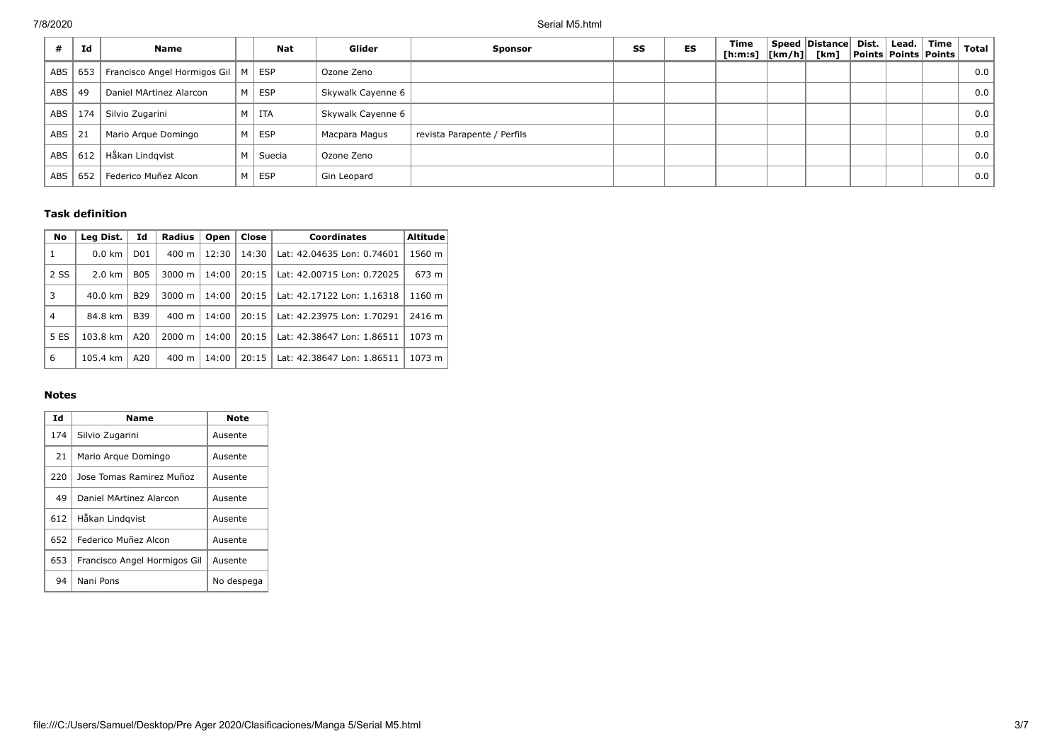| Id                | <b>Name</b>                  |   | <b>Nat</b> | Glider            | <b>Sponsor</b>              | SS | ES | Time<br>[ <b>h</b> : <b>m</b> : <b>s</b> ] | $\lfloor \lfloor km/h \rfloor \rfloor$ | Speed Distance Dist.<br>[km] | Points   Points   Points | Lead. | Time | <b>Total</b> |
|-------------------|------------------------------|---|------------|-------------------|-----------------------------|----|----|--------------------------------------------|----------------------------------------|------------------------------|--------------------------|-------|------|--------------|
| 653<br>ABS        | Francisco Angel Hormigos Gil | M | <b>ESP</b> | Ozone Zeno        |                             |    |    |                                            |                                        |                              |                          |       |      | 0.0          |
| ABS  <br>49       | Daniel MArtinez Alarcon      | M | <b>ESP</b> | Skywalk Cayenne 6 |                             |    |    |                                            |                                        |                              |                          |       |      | 0.0          |
| <b>ABS</b><br>174 | Silvio Zugarini              |   | M   ITA    | Skywalk Cayenne 6 |                             |    |    |                                            |                                        |                              |                          |       |      | 0.0          |
| ABS<br>21         | Mario Argue Domingo          | M | ESP        | Macpara Magus     | revista Parapente / Perfils |    |    |                                            |                                        |                              |                          |       |      | 0.0          |
| ABS  <br>612      | Håkan Lindgvist              | М | Suecia     | Ozone Zeno        |                             |    |    |                                            |                                        |                              |                          |       |      | 0.0          |
| 652<br><b>ABS</b> | Federico Muñez Alcon         | м | <b>ESP</b> | Gin Leopard       |                             |    |    |                                            |                                        |                              |                          |       |      | 0.0          |

## **Task definition**

| No           | Leg Dist.        | Id              | <b>Radius</b>      | Open  | Close | <b>Coordinates</b>         | <b>Altitude</b> |
|--------------|------------------|-----------------|--------------------|-------|-------|----------------------------|-----------------|
| $\mathbf{1}$ | $0.0$ km         | D <sub>01</sub> | $400 \text{ m}$    | 12:30 | 14:30 | Lat: 42.04635 Lon: 0.74601 | 1560 m          |
| 2 SS         | $2.0 \text{ km}$ | <b>B05</b>      | $3000 \; \text{m}$ | 14:00 | 20:15 | Lat: 42.00715 Lon: 0.72025 | 673 m           |
| 3            | 40.0 km          | <b>B29</b>      | $3000 \; \text{m}$ | 14:00 | 20:15 | Lat: 42.17122 Lon: 1.16318 | 1160 m          |
| 4            | 84.8 km          | <b>B39</b>      | $400 \text{ m}$    | 14:00 | 20:15 | Lat: 42.23975 Lon: 1.70291 | 2416 m          |
| 5 ES         | 103.8 km         | A20             | $2000 \; \text{m}$ | 14:00 | 20:15 | Lat: 42.38647 Lon: 1.86511 | 1073 m          |
| 6            | 105.4 km         | A20             | $400 \text{ m}$    | 14:00 | 20:15 | Lat: 42.38647 Lon: 1.86511 | 1073 m          |

## **Notes**

| Id  | <b>Name</b>                  | Note       |
|-----|------------------------------|------------|
| 174 | Silvio Zugarini              | Ausente    |
| 21  | Mario Argue Domingo          | Ausente    |
| 220 | Jose Tomas Ramirez Muñoz     | Ausente    |
| 49  | Daniel MArtinez Alarcon      | Ausente    |
| 612 | Håkan Lindgvist              | Ausente    |
| 652 | Federico Muñez Alcon         | Ausente    |
| 653 | Francisco Angel Hormigos Gil | Ausente    |
| 94  | Nani Pons                    | No despega |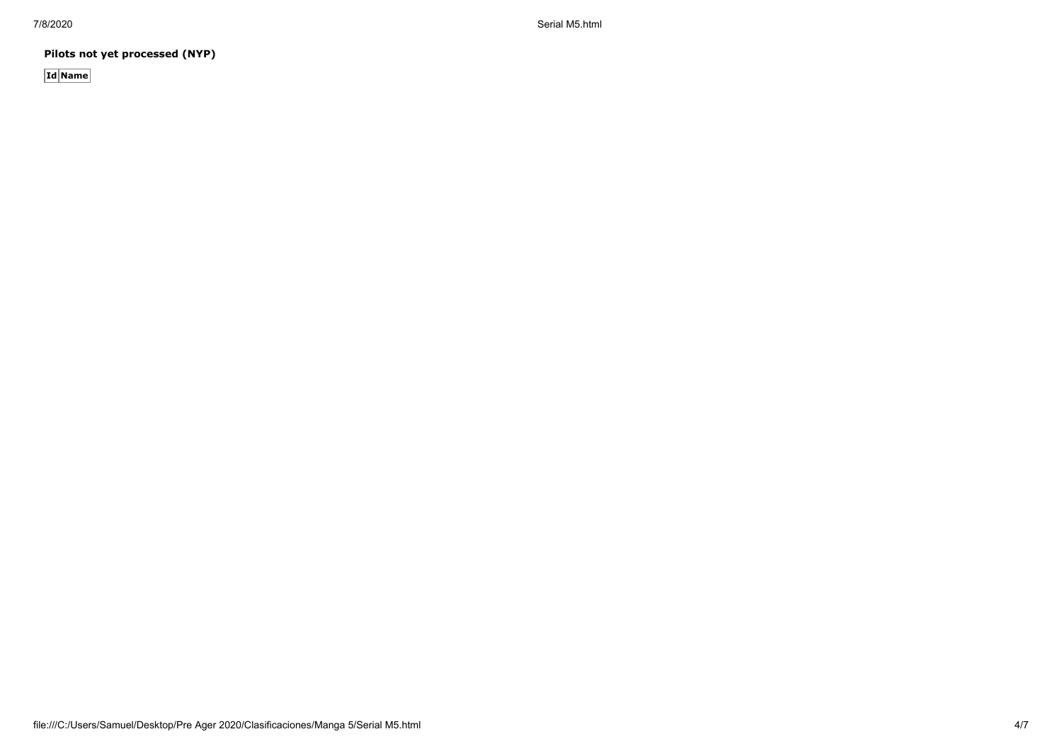7/8/2020 Serial M5.html

**Pilots not yet processed (NYP)**

**Id Name**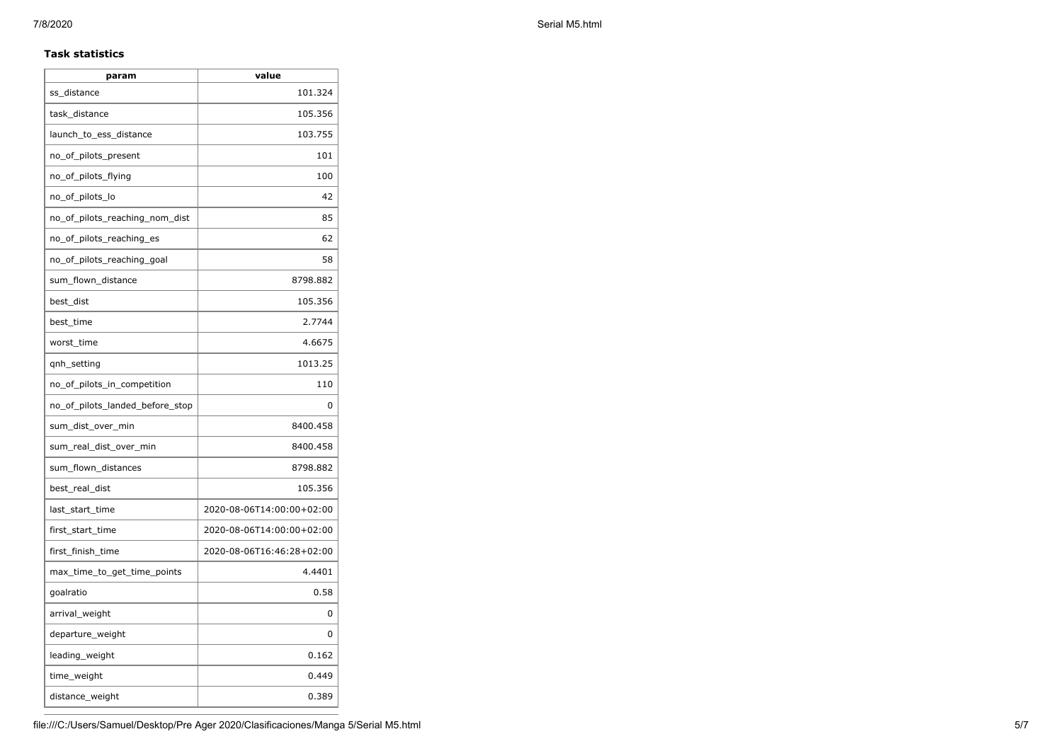## **Task statistics**

| param                           | value                     |
|---------------------------------|---------------------------|
| ss_distance                     | 101.324                   |
| task_distance                   | 105.356                   |
| launch_to_ess_distance          | 103.755                   |
| no_of_pilots_present            | 101                       |
| no_of_pilots_flying             | 100                       |
| no_of_pilots_lo                 | 42                        |
| no_of_pilots_reaching_nom_dist  | 85                        |
| no_of_pilots_reaching_es        | 62                        |
| no_of_pilots_reaching_goal      | 58                        |
| sum_flown_distance              | 8798.882                  |
| best_dist                       | 105.356                   |
| best time                       | 2.7744                    |
| worst time                      | 4.6675                    |
| qnh_setting                     | 1013.25                   |
| no_of_pilots_in_competition     | 110                       |
| no_of_pilots_landed_before_stop | 0                         |
| sum_dist_over_min               | 8400.458                  |
| sum_real_dist_over_min          | 8400.458                  |
| sum_flown_distances             | 8798.882                  |
| best_real_dist                  | 105.356                   |
| last_start_time                 | 2020-08-06T14:00:00+02:00 |
| first_start_time                | 2020-08-06T14:00:00+02:00 |
| first_finish_time               | 2020-08-06T16:46:28+02:00 |
| max_time_to_get_time_points     | 4.4401                    |
| goalratio                       | 0.58                      |
| arrival_weight                  | 0                         |
| departure_weight                | 0                         |
| leading_weight                  | 0.162                     |
| time_weight                     | 0.449                     |
| distance_weight                 | 0.389                     |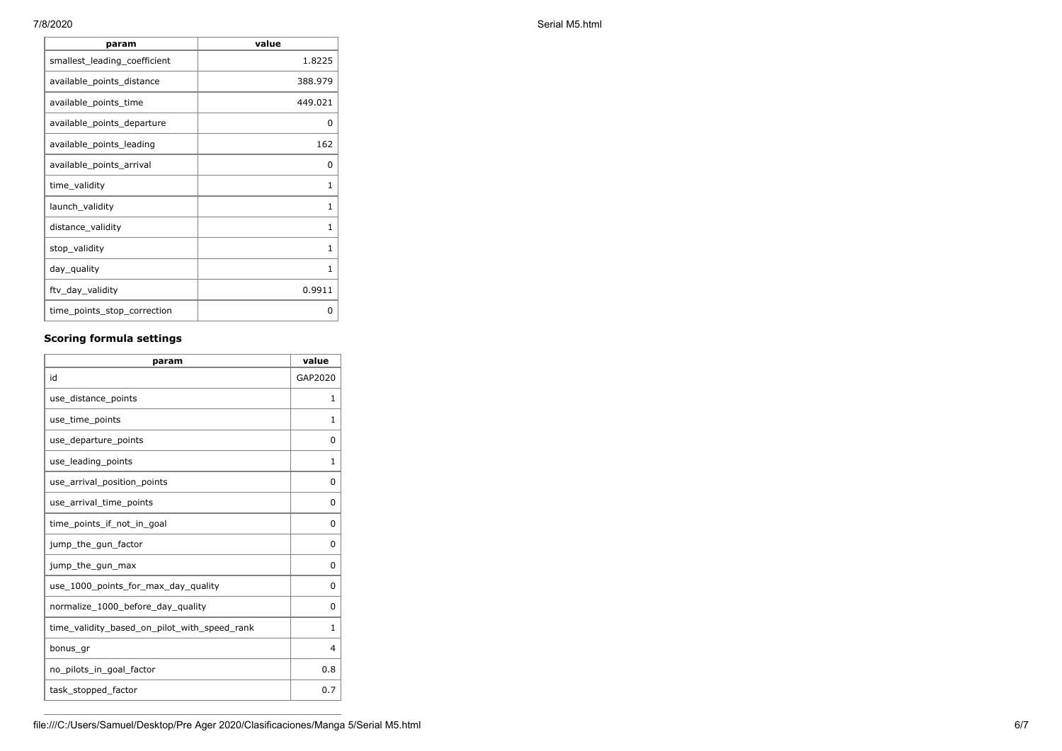| param                        | value        |
|------------------------------|--------------|
| smallest_leading_coefficient | 1.8225       |
| available_points_distance    | 388.979      |
| available_points_time        | 449.021      |
| available_points_departure   | 0            |
| available_points_leading     | 162          |
| available_points_arrival     | 0            |
| time_validity                | 1            |
| launch_validity              | $\mathbf{1}$ |
| distance_validity            | 1            |
| stop_validity                | $\mathbf{1}$ |
| day_quality                  | $\mathbf{1}$ |
| ftv_day_validity             | 0.9911       |
| time_points_stop_correction  | 0            |

## **Scoring formula settings**

| param                                        | value        |
|----------------------------------------------|--------------|
| id                                           | GAP2020      |
| use_distance_points                          | 1            |
| use_time_points                              | 1            |
| use_departure_points                         | 0            |
| use leading points                           | 1            |
| use_arrival_position_points                  | 0            |
| use_arrival_time_points                      | 0            |
| time points if not in goal                   | $\Omega$     |
| jump_the_gun_factor                          | $\Omega$     |
| jump_the_gun_max                             | 0            |
| use_1000_points_for_max_day_quality          | $\Omega$     |
| normalize_1000_before_day_quality            | 0            |
| time_validity_based_on_pilot_with_speed_rank | $\mathbf{1}$ |
| bonus_gr                                     | 4            |
| no_pilots_in_goal_factor                     | 0.8          |
| task_stopped_factor                          | 0.7          |

7/8/2020 Serial M5.html